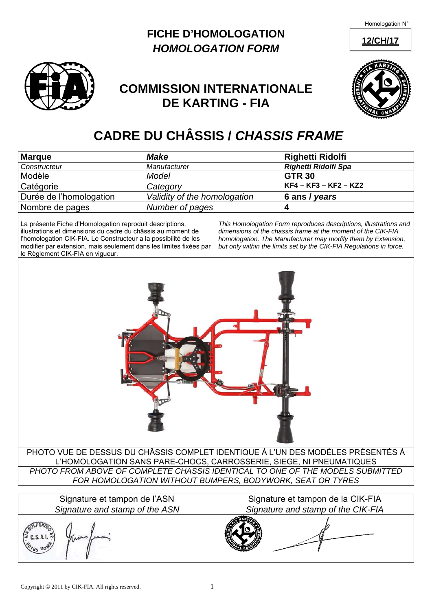Homologation N°

**12/CH/17**





## **COMMISSION INTERNATIONALE DE KARTING - FIA**



## **CADRE DU CHÂSSIS /** *CHASSIS FRAME*

| <b>Marque</b>                                                                                                                                                                                                                                                                                         | <b>Make</b>                                                         |                                                                                                                                                                                                                                                                          | <b>Righetti Ridolfi</b>           |  |  |
|-------------------------------------------------------------------------------------------------------------------------------------------------------------------------------------------------------------------------------------------------------------------------------------------------------|---------------------------------------------------------------------|--------------------------------------------------------------------------------------------------------------------------------------------------------------------------------------------------------------------------------------------------------------------------|-----------------------------------|--|--|
| Constructeur                                                                                                                                                                                                                                                                                          | Manufacturer                                                        |                                                                                                                                                                                                                                                                          | Righetti Ridolfi Spa              |  |  |
| Modèle                                                                                                                                                                                                                                                                                                | Model                                                               |                                                                                                                                                                                                                                                                          | <b>GTR 30</b>                     |  |  |
| Catégorie                                                                                                                                                                                                                                                                                             | Category                                                            |                                                                                                                                                                                                                                                                          | KF4 - KF3 - KF2 - KZ2             |  |  |
| Durée de l'homologation                                                                                                                                                                                                                                                                               | Validity of the homologation                                        |                                                                                                                                                                                                                                                                          | 6 ans / years                     |  |  |
| Nombre de pages                                                                                                                                                                                                                                                                                       | Number of pages                                                     |                                                                                                                                                                                                                                                                          | $\overline{\mathbf{4}}$           |  |  |
| La présente Fiche d'Homologation reproduit descriptions,<br>illustrations et dimensions du cadre du châssis au moment de<br>l'homologation CIK-FIA. Le Constructeur a la possibilité de les<br>modifier par extension, mais seulement dans les limites fixées par<br>le Règlement CIK-FIA en vigueur. |                                                                     | This Homologation Form reproduces descriptions, illustrations and<br>dimensions of the chassis frame at the moment of the CIK-FIA<br>homologation. The Manufacturer may modify them by Extension,<br>but only within the limits set by the CIK-FIA Regulations in force. |                                   |  |  |
| PHOTO VUE DE DESSUS DU CHÂSSIS COMPLET IDENTIQUE À L'UN DES MODÈLES PRÉSENTÉS À                                                                                                                                                                                                                       |                                                                     |                                                                                                                                                                                                                                                                          |                                   |  |  |
|                                                                                                                                                                                                                                                                                                       | L'HOMOLOGATION SANS PARE-CHOCS, CARROSSERIE, SIEGE, NI PNEUMATIQUES |                                                                                                                                                                                                                                                                          |                                   |  |  |
| PHOTO FROM ABOVE OF COMPLETE CHASSIS IDENTICAL TO ONE OF THE MODELS SUBMITTED<br>FOR HOMOLOGATION WITHOUT BUMPERS, BODYWORK, SEAT OR TYRES                                                                                                                                                            |                                                                     |                                                                                                                                                                                                                                                                          |                                   |  |  |
|                                                                                                                                                                                                                                                                                                       |                                                                     |                                                                                                                                                                                                                                                                          |                                   |  |  |
| Signature et tampon de l'ASN                                                                                                                                                                                                                                                                          |                                                                     |                                                                                                                                                                                                                                                                          | Signature et tampon de la CIK-FIA |  |  |

*Signature and stamp of the ASN Signature and stamp of the CIK-FIA*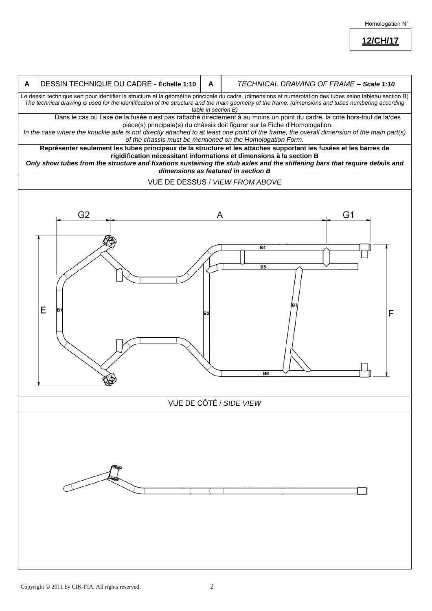Homologation N°

**12/CH/17**

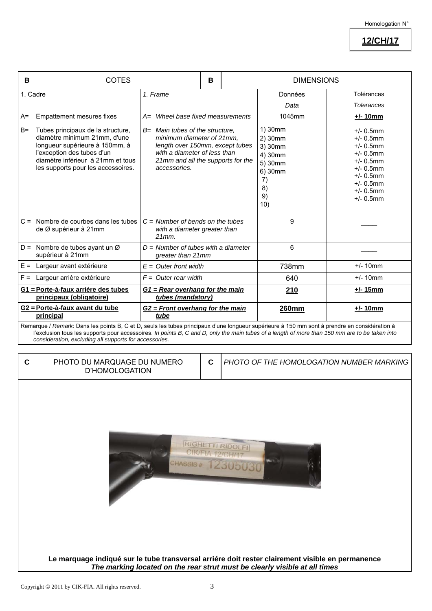**12/CH/17**

| B                                                                                                                                                                                                                                                                                               | <b>COTES</b>                                                                                                                                                                                                 | B                                                                                                                                                                                      |  | <b>DIMENSIONS</b>                                                                       |                                                                                                                                                              |                   |
|-------------------------------------------------------------------------------------------------------------------------------------------------------------------------------------------------------------------------------------------------------------------------------------------------|--------------------------------------------------------------------------------------------------------------------------------------------------------------------------------------------------------------|----------------------------------------------------------------------------------------------------------------------------------------------------------------------------------------|--|-----------------------------------------------------------------------------------------|--------------------------------------------------------------------------------------------------------------------------------------------------------------|-------------------|
| 1. Cadre                                                                                                                                                                                                                                                                                        |                                                                                                                                                                                                              | 1. Frame                                                                                                                                                                               |  |                                                                                         | Données                                                                                                                                                      | Tolérances        |
|                                                                                                                                                                                                                                                                                                 |                                                                                                                                                                                                              |                                                                                                                                                                                        |  |                                                                                         | Data                                                                                                                                                         | <b>Tolerances</b> |
| $A=$                                                                                                                                                                                                                                                                                            | Empattement mesures fixes                                                                                                                                                                                    | A= Wheel base fixed measurements                                                                                                                                                       |  | 1045mm                                                                                  | $+/- 10$ mm                                                                                                                                                  |                   |
| $B =$                                                                                                                                                                                                                                                                                           | Tubes principaux de la structure,<br>diamètre minimum 21mm, d'une<br>longueur supérieure à 150mm, à<br>l'exception des tubes d'un<br>diamètre inférieur à 21mm et tous<br>les supports pour les accessoires. | $B=$ Main tubes of the structure.<br>minimum diameter of 21mm,<br>length over 150mm, except tubes<br>with a diameter of less than<br>21mm and all the supports for the<br>accessories. |  | 1) 30mm<br>2) 30mm<br>3) 30mm<br>4) 30mm<br>5) 30mm<br>6) 30mm<br>7)<br>8)<br>9)<br>10) | $+/- 0.5$ mm<br>$+/- 0.5$ mm<br>$+/- 0.5$ mm<br>$+/- 0.5$ mm<br>$+/- 0.5$ mm<br>$+/- 0.5$ mm<br>$+/- 0.5$ mm<br>$+/- 0.5$ mm<br>$+/- 0.5$ mm<br>$+/- 0.5$ mm |                   |
|                                                                                                                                                                                                                                                                                                 | $C =$ Nombre de courbes dans les tubes<br>de Ø supérieur à 21mm                                                                                                                                              | $C =$ Number of bends on the tubes<br>with a diameter greater than<br>$21mm$ .                                                                                                         |  | 9                                                                                       |                                                                                                                                                              |                   |
|                                                                                                                                                                                                                                                                                                 | $D =$ Nombre de tubes ayant un Ø<br>supérieur à 21mm                                                                                                                                                         | $D =$ Number of tubes with a diameter<br>greater than 21mm                                                                                                                             |  | 6                                                                                       |                                                                                                                                                              |                   |
| $E =$                                                                                                                                                                                                                                                                                           | Largeur avant extérieure                                                                                                                                                                                     | $E =$ Outer front width                                                                                                                                                                |  | 738mm                                                                                   | $+/- 10$ mm                                                                                                                                                  |                   |
| $F =$                                                                                                                                                                                                                                                                                           | Largeur arrière extérieure                                                                                                                                                                                   | $F =$ Outer rear width                                                                                                                                                                 |  | 640                                                                                     | $+/- 10$ mm                                                                                                                                                  |                   |
|                                                                                                                                                                                                                                                                                                 | G1 = Porte-à-faux arriére des tubes<br>principaux (obligatoire)                                                                                                                                              | G1 = Rear overhang for the main<br>tubes (mandatory)                                                                                                                                   |  |                                                                                         | 210                                                                                                                                                          | $+/- 15$ mm       |
|                                                                                                                                                                                                                                                                                                 | G2 = Porte-à-faux avant du tube<br>principal                                                                                                                                                                 | G2 = Front overhang for the main<br>tube                                                                                                                                               |  |                                                                                         | <b>260mm</b>                                                                                                                                                 | $+/- 10mm$        |
| Remarque / Remark: Dans les points B, C et D, seuls les tubes principaux d'une longueur supérieure à 150 mm sont à prendre en considération à<br>l'exclusion tous les supports pour accessoires. In points B, C and D, only the main tubes of a length of more than 150 mm are to be taken into |                                                                                                                                                                                                              |                                                                                                                                                                                        |  |                                                                                         |                                                                                                                                                              |                   |

*consideration, excluding all supports for accessories.*

| C | PHOTO DU MARQUAGE DU NUMERO |
|---|-----------------------------|
|   | D'HOMOLOGATION              |

**C** *PHOTO OF THE HOMOLOGATION NUMBER MARKING*



**Le marquage indiqué sur le tube transversal arriére doit rester clairement visible en permanence**  *The marking located on the rear strut must be clearly visible at all times*